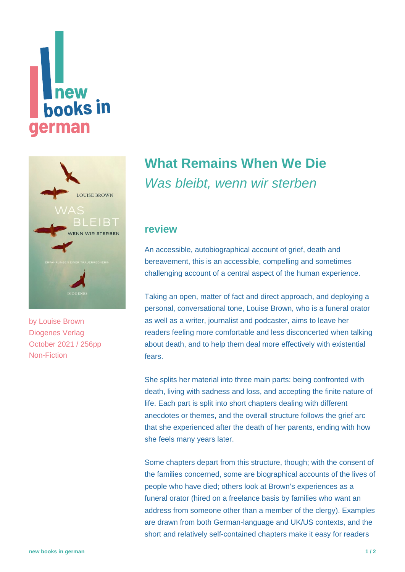# new **books** in **german**



by [Louise Brown](https://www.new-books-in-german.com/recommendations/?searchInput=Louise%20Brown) Diogenes Verlag October 2021 / 256pp Non-Fiction

## **[What Remains When We Die](https://www.new-books-in-german.com/recommendations/what-remains-when-we-die/)** Was bleibt, wenn wir sterben

#### **review**

An accessible, autobiographical account of grief, death and bereavement, this is an accessible, compelling and sometimes challenging account of a central aspect of the human experience.

Taking an open, matter of fact and direct approach, and deploying a personal, conversational tone, Louise Brown, who is a funeral orator as well as a writer, journalist and podcaster, aims to leave her readers feeling more comfortable and less disconcerted when talking about death, and to help them deal more effectively with existential fears.

She splits her material into three main parts: being confronted with death, living with sadness and loss, and accepting the finite nature of life. Each part is split into short chapters dealing with different anecdotes or themes, and the overall structure follows the grief arc that she experienced after the death of her parents, ending with how she feels many years later.

Some chapters depart from this structure, though; with the consent of the families concerned, some are biographical accounts of the lives of people who have died; others look at Brown's experiences as a funeral orator (hired on a freelance basis by families who want an address from someone other than a member of the clergy). Examples are drawn from both German-language and UK/US contexts, and the short and relatively self-contained chapters make it easy for readers